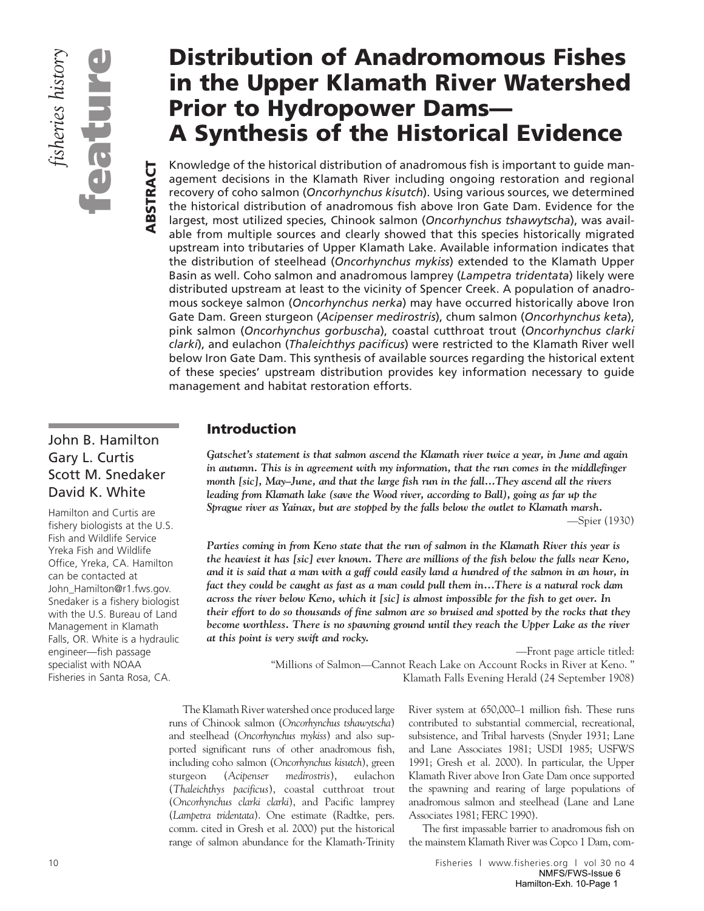**ABSTRACT**

ABSTRACT

### **Distribution of Anadromomous Fishes in the Upper Klamath River Watershed Prior to Hydropower Dams— A Synthesis of the Historical Evidence**

Knowledge of the historical distribution of anadromous fish is important to guide management decisions in the Klamath River including ongoing restoration and regional recovery of coho salmon (*Oncorhynchus kisutch*). Using various sources, we determined the historical distribution of anadromous fish above Iron Gate Dam. Evidence for the largest, most utilized species, Chinook salmon (*Oncorhynchus tshawytscha*), was available from multiple sources and clearly showed that this species historically migrated upstream into tributaries of Upper Klamath Lake. Available information indicates that the distribution of steelhead (*Oncorhynchus mykiss*) extended to the Klamath Upper Basin as well. Coho salmon and anadromous lamprey (*Lampetra tridentata*) likely were distributed upstream at least to the vicinity of Spencer Creek. A population of anadromous sockeye salmon (*Oncorhynchus nerka*) may have occurred historically above Iron Gate Dam. Green sturgeon (*Acipenser medirostris*), chum salmon (*Oncorhynchus keta*), pink salmon (*Oncorhynchus gorbuscha*), coastal cutthroat trout (*Oncorhynchus clarki clarki*), and eulachon (*Thaleichthys pacificus*) were restricted to the Klamath River well below Iron Gate Dam. This synthesis of available sources regarding the historical extent of these species' upstream distribution provides key information necessary to guide management and habitat restoration efforts.

#### **Introduction**

*Gatschet's statement is that salmon ascend the Klamath river twice a year, in June and again in autumn. This is in agreement with my information, that the run comes in the middlefinger month [sic], May–June, and that the large fish run in the fall...They ascend all the rivers leading from Klamath lake (save the Wood river, according to Ball), going as far up the Sprague river as Yainax, but are stopped by the falls below the outlet to Klamath marsh.* —Spier (1930)

*Parties coming in from Keno state that the run of salmon in the Klamath River this year is the heaviest it has [sic] ever known. There are millions of the fish below the falls near Keno, and it is said that a man with a gaff could easily land a hundred of the salmon in an hour, in fact they could be caught as fast as a man could pull them in…There is a natural rock dam across the river below Keno, which it [sic] is almost impossible for the fish to get over. In their effort to do so thousands of fine salmon are so bruised and spotted by the rocks that they become worthless. There is no spawning ground until they reach the Upper Lake as the river at this point is very swift and rocky.*

*—*Front page article titled: "Millions of Salmon—Cannot Reach Lake on Account Rocks in River at Keno. " Klamath Falls Evening Herald (24 September 1908)

The Klamath River watershed once produced large runs of Chinook salmon (*Oncorhynchus tshawytscha*) and steelhead (*Oncorhynchus mykiss*) and also supported significant runs of other anadromous fish, including coho salmon (*Oncorhynchus kisutch*), green sturgeon (*Acipenser medirostris*), eulachon (*Thaleichthys pacificus*), coastal cutthroat trout (*Oncorhynchus clarki clarki*), and Pacific lamprey (*Lampetra tridentata*). One estimate (Radtke, pers. comm. cited in Gresh et al. 2000) put the historical range of salmon abundance for the Klamath-Trinity

River system at 650,000–1 million fish. These runs contributed to substantial commercial, recreational, subsistence, and Tribal harvests (Snyder 1931; Lane and Lane Associates 1981; USDI 1985; USFWS 1991; Gresh et al. 2000). In particular, the Upper Klamath River above Iron Gate Dam once supported the spawning and rearing of large populations of anadromous salmon and steelhead (Lane and Lane Associates 1981; FERC 1990).

The first impassable barrier to anadromous fish on the mainstem Klamath River was Copco 1 Dam, com-

10 Fisheries | www.fisheries.org | vol 30 no 4 NMFS/FWS-Issue 6 Hamilton-Exh. 10-Page 1

#### John B. Hamilton Gary L. Curtis Scott M. Snedaker David K. White

Hamilton and Curtis are fishery biologists at the U.S. Fish and Wildlife Service Yreka Fish and Wildlife Office, Yreka, CA. Hamilton can be contacted at John\_Hamilton@r1.fws.gov. Snedaker is a fishery biologist with the U.S. Bureau of Land Management in Klamath Falls, OR. White is a hydraulic engineer—fish passage specialist with NOAA Fisheries in Santa Rosa, CA.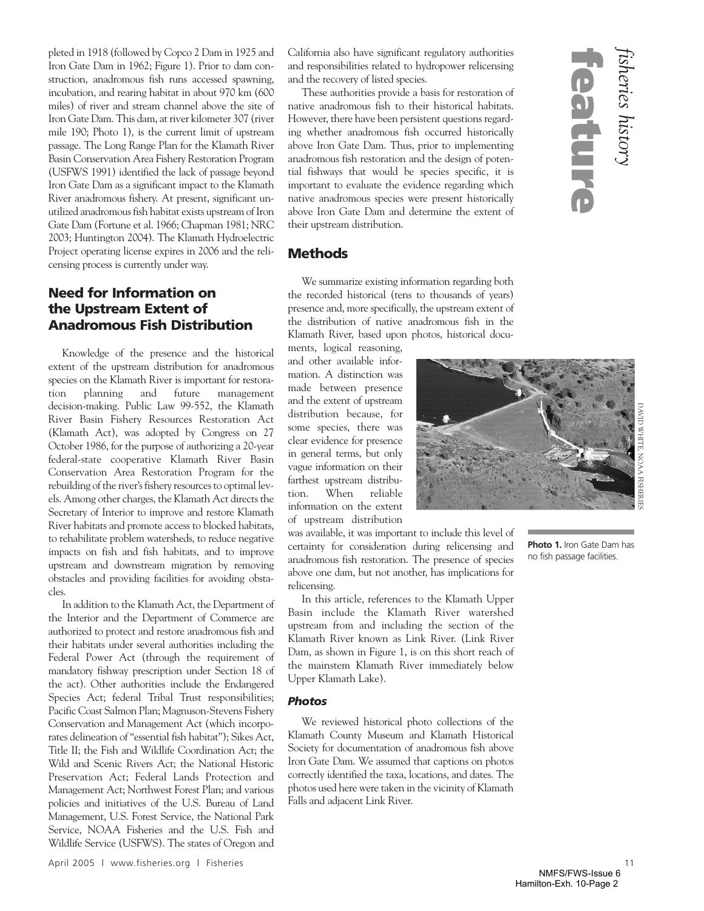pleted in 1918 (followed by Copco 2 Dam in 1925 and Iron Gate Dam in 1962; Figure 1). Prior to dam construction, anadromous fish runs accessed spawning, incubation, and rearing habitat in about 970 km (600 miles) of river and stream channel above the site of Iron Gate Dam. This dam, at river kilometer 307 (river mile 190; Photo 1), is the current limit of upstream passage. The Long Range Plan for the Klamath River Basin Conservation Area Fishery Restoration Program (USFWS 1991) identified the lack of passage beyond Iron Gate Dam as a significant impact to the Klamath River anadromous fishery. At present, significant unutilized anadromous fish habitat exists upstream of Iron Gate Dam (Fortune et al. 1966; Chapman 1981; NRC 2003; Huntington 2004). The Klamath Hydroelectric Project operating license expires in 2006 and the relicensing process is currently under way.

#### **Need for Information on the Upstream Extent of Anadromous Fish Distribution**

Knowledge of the presence and the historical extent of the upstream distribution for anadromous species on the Klamath River is important for restoration planning and future management decision-making. Public Law 99-552, the Klamath River Basin Fishery Resources Restoration Act (Klamath Act), was adopted by Congress on 27 October 1986, for the purpose of authorizing a 20-year federal-state cooperative Klamath River Basin Conservation Area Restoration Program for the rebuilding of the river's fishery resources to optimal levels. Among other charges, the Klamath Act directs the Secretary of Interior to improve and restore Klamath River habitats and promote access to blocked habitats, to rehabilitate problem watersheds, to reduce negative impacts on fish and fish habitats, and to improve upstream and downstream migration by removing obstacles and providing facilities for avoiding obstacles.

In addition to the Klamath Act, the Department of the Interior and the Department of Commerce are authorized to protect and restore anadromous fish and their habitats under several authorities including the Federal Power Act (through the requirement of mandatory fishway prescription under Section 18 of the act). Other authorities include the Endangered Species Act; federal Tribal Trust responsibilities; Pacific Coast Salmon Plan; Magnuson-Stevens Fishery Conservation and Management Act (which incorporates delineation of "essential fish habitat"); Sikes Act, Title II; the Fish and Wildlife Coordination Act; the Wild and Scenic Rivers Act; the National Historic Preservation Act; Federal Lands Protection and Management Act; Northwest Forest Plan; and various policies and initiatives of the U.S. Bureau of Land Management, U.S. Forest Service, the National Park Service, NOAA Fisheries and the U.S. Fish and Wildlife Service (USFWS). The states of Oregon and

April 2005 | www.fisheries.org | Fisheries 11

California also have significant regulatory authorities and responsibilities related to hydropower relicensing and the recovery of listed species.

These authorities provide a basis for restoration of native anadromous fish to their historical habitats. However, there have been persistent questions regarding whether anadromous fish occurred historically above Iron Gate Dam. Thus, prior to implementing anadromous fish restoration and the design of potential fishways that would be species specific, it is important to evaluate the evidence regarding which native anadromous species were present historically above Iron Gate Dam and determine the extent of their upstream distribution.

#### **Methods**

We summarize existing information regarding both the recorded historical (tens to thousands of years) presence and, more specifically, the upstream extent of the distribution of native anadromous fish in the Klamath River, based upon photos, historical docu-

ments, logical reasoning, and other available information. A distinction was made between presence and the extent of upstream distribution because, for some species, there was clear evidence for presence in general terms, but only vague information on their farthest upstream distribution. When reliable information on the extent of upstream distribution

was available, it was important to include this level of certainty for consideration during relicensing and anadromous fish restoration. The presence of species above one dam, but not another, has implications for relicensing.

In this article, references to the Klamath Upper Basin include the Klamath River watershed upstream from and including the section of the Klamath River known as Link River. (Link River Dam, as shown in Figure 1, is on this short reach of the mainstem Klamath River immediately below Upper Klamath Lake).

#### *Photos*

We reviewed historical photo collections of the Klamath County Museum and Klamath Historical Society for documentation of anadromous fish above Iron Gate Dam. We assumed that captions on photos correctly identified the taxa, locations, and dates. The photos used here were taken in the vicinity of Klamath Falls and adjacent Link River.

**Photo 1.** Iron Gate Dam has no fish passage facilities.

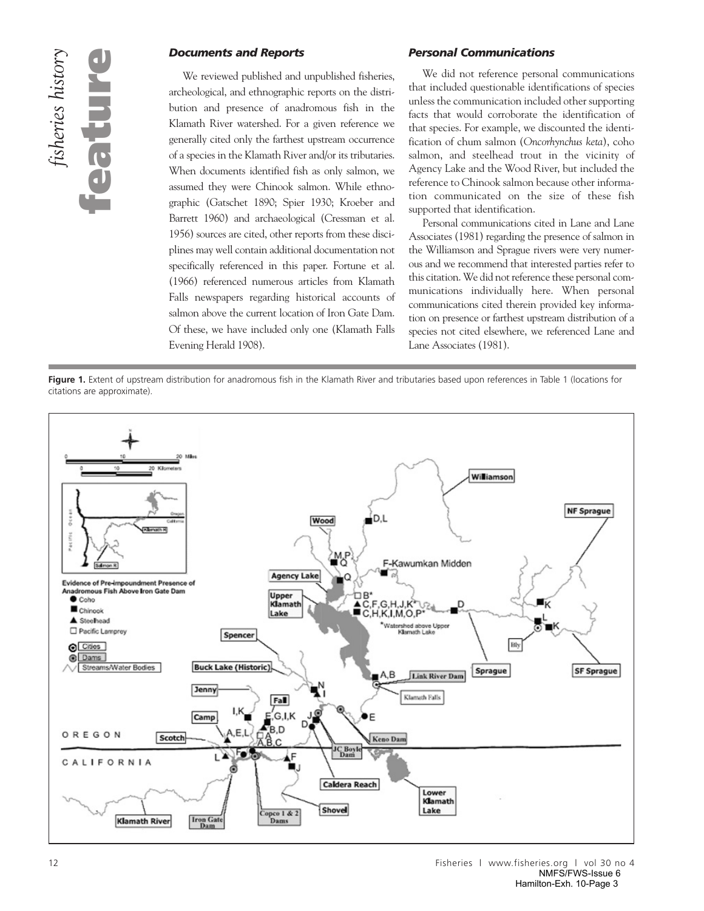# *fisheries history* **feature** fisheries history

#### *Documents and Reports*

We reviewed published and unpublished fisheries, archeological, and ethnographic reports on the distribution and presence of anadromous fish in the Klamath River watershed. For a given reference we generally cited only the farthest upstream occurrence of a species in the Klamath River and/or its tributaries. When documents identified fish as only salmon, we assumed they were Chinook salmon. While ethnographic (Gatschet 1890; Spier 1930; Kroeber and Barrett 1960) and archaeological (Cressman et al. 1956) sources are cited, other reports from these disciplines may well contain additional documentation not specifically referenced in this paper. Fortune et al. (1966) referenced numerous articles from Klamath Falls newspapers regarding historical accounts of salmon above the current location of Iron Gate Dam. Of these, we have included only one (Klamath Falls Evening Herald 1908).

#### *Personal Communications*

We did not reference personal communications that included questionable identifications of species unless the communication included other supporting facts that would corroborate the identification of that species. For example, we discounted the identification of chum salmon (*Oncorhynchus keta*), coho salmon, and steelhead trout in the vicinity of Agency Lake and the Wood River, but included the reference to Chinook salmon because other information communicated on the size of these fish supported that identification.

Personal communications cited in Lane and Lane Associates (1981) regarding the presence of salmon in the Williamson and Sprague rivers were very numerous and we recommend that interested parties refer to this citation. We did not reference these personal communications individually here. When personal communications cited therein provided key information on presence or farthest upstream distribution of a species not cited elsewhere, we referenced Lane and Lane Associates (1981).

Figure 1. Extent of upstream distribution for anadromous fish in the Klamath River and tributaries based upon references in Table 1 (locations for citations are approximate).

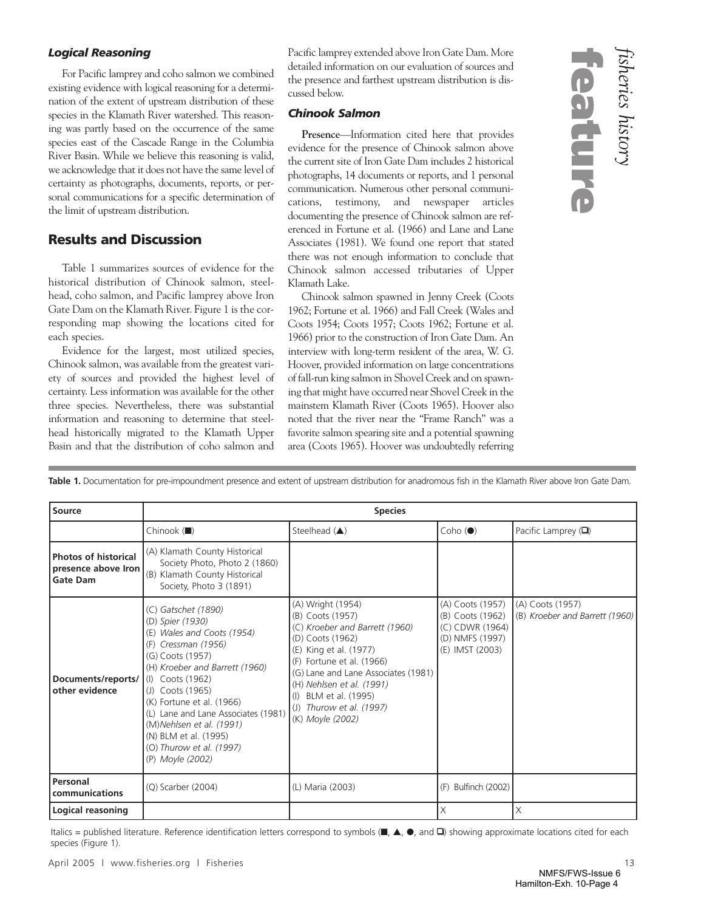#### *Logical Reasoning*

For Pacific lamprey and coho salmon we combined existing evidence with logical reasoning for a determination of the extent of upstream distribution of these species in the Klamath River watershed. This reasoning was partly based on the occurrence of the same species east of the Cascade Range in the Columbia River Basin. While we believe this reasoning is valid, we acknowledge that it does not have the same level of certainty as photographs, documents, reports, or personal communications for a specific determination of the limit of upstream distribution.

#### **Results and Discussion**

Table 1 summarizes sources of evidence for the historical distribution of Chinook salmon, steelhead, coho salmon, and Pacific lamprey above Iron Gate Dam on the Klamath River. Figure 1 is the corresponding map showing the locations cited for each species.

Evidence for the largest, most utilized species, Chinook salmon, was available from the greatest variety of sources and provided the highest level of certainty. Less information was available for the other three species. Nevertheless, there was substantial information and reasoning to determine that steelhead historically migrated to the Klamath Upper Basin and that the distribution of coho salmon and

Pacific lamprey extended above Iron Gate Dam. More detailed information on our evaluation of sources and the presence and farthest upstream distribution is discussed below.

#### *Chinook Salmon*

**Presence**—Information cited here that provides evidence for the presence of Chinook salmon above the current site of Iron Gate Dam includes 2 historical photographs, 14 documents or reports, and 1 personal communication. Numerous other personal communications, testimony, and newspaper articles documenting the presence of Chinook salmon are referenced in Fortune et al. (1966) and Lane and Lane Associates (1981). We found one report that stated there was not enough information to conclude that Chinook salmon accessed tributaries of Upper Klamath Lake.

Chinook salmon spawned in Jenny Creek (Coots 1962; Fortune et al. 1966) and Fall Creek (Wales and Coots 1954; Coots 1957; Coots 1962; Fortune et al. 1966) prior to the construction of Iron Gate Dam. An interview with long-term resident of the area, W. G. Hoover, provided information on large concentrations of fall-run king salmon in Shovel Creek and on spawning that might have occurred near Shovel Creek in the mainstem Klamath River (Coots 1965). Hoover also noted that the river near the "Frame Ranch" was a favorite salmon spearing site and a potential spawning area (Coots 1965). Hoover was undoubtedly referring

| Source                                                                | <b>Species</b>                                                                                                                                                                                                                                                                                                                                                       |                                                                                                                                                                                                                                                                                              |                                                                                               |                                                    |
|-----------------------------------------------------------------------|----------------------------------------------------------------------------------------------------------------------------------------------------------------------------------------------------------------------------------------------------------------------------------------------------------------------------------------------------------------------|----------------------------------------------------------------------------------------------------------------------------------------------------------------------------------------------------------------------------------------------------------------------------------------------|-----------------------------------------------------------------------------------------------|----------------------------------------------------|
|                                                                       | Chinook ()                                                                                                                                                                                                                                                                                                                                                           | Steelhead $(\triangle)$                                                                                                                                                                                                                                                                      | $Coho$ ( $\bullet$ )                                                                          | Pacific Lamprey $(\Box)$                           |
| <b>Photos of historical</b><br>presence above Iron<br><b>Gate Dam</b> | (A) Klamath County Historical<br>Society Photo, Photo 2 (1860)<br>(B) Klamath County Historical<br>Society, Photo 3 (1891)                                                                                                                                                                                                                                           |                                                                                                                                                                                                                                                                                              |                                                                                               |                                                    |
| Documents/reports/<br>other evidence                                  | (C) Gatschet (1890)<br>(D) Spier (1930)<br>(E) Wales and Coots (1954)<br>(F) Cressman (1956)<br>(G) Coots (1957)<br>(H) Kroeber and Barrett (1960)<br>(I) Coots (1962)<br>(J) Coots (1965)<br>(K) Fortune et al. (1966)<br>(L) Lane and Lane Associates (1981)<br>(M) Nehlsen et al. (1991)<br>(N) BLM et al. (1995)<br>(O) Thurow et al. (1997)<br>(P) Moyle (2002) | (A) Wright (1954)<br>(B) Coots (1957)<br>(C) Kroeber and Barrett (1960)<br>(D) Coots (1962)<br>(E) King et al. (1977)<br>(F) Fortune et al. (1966)<br>(G) Lane and Lane Associates (1981)<br>(H) Nehlsen et al. (1991)<br>BLM et al. (1995)<br>$J)$ Thurow et al. (1997)<br>(K) Moyle (2002) | (A) Coots (1957)<br>(B) Coots (1962)<br>(C) CDWR (1964)<br>(D) NMFS (1997)<br>(E) IMST (2003) | (A) Coots (1957)<br>(B) Kroeber and Barrett (1960) |
| Personal<br>communications                                            | (Q) Scarber (2004)                                                                                                                                                                                                                                                                                                                                                   | (L) Maria (2003)                                                                                                                                                                                                                                                                             | (F) Bulfinch (2002)                                                                           |                                                    |
| Logical reasoning                                                     |                                                                                                                                                                                                                                                                                                                                                                      |                                                                                                                                                                                                                                                                                              | X                                                                                             | $\times$                                           |

**Table 1.** Documentation for pre-impoundment presence and extent of upstream distribution for anadromous fish in the Klamath River above Iron Gate Dam.

Italics = published literature. Reference identification letters correspond to symbols (■, ▲, ●, and ❑) showing approximate locations cited for each species (Figure 1).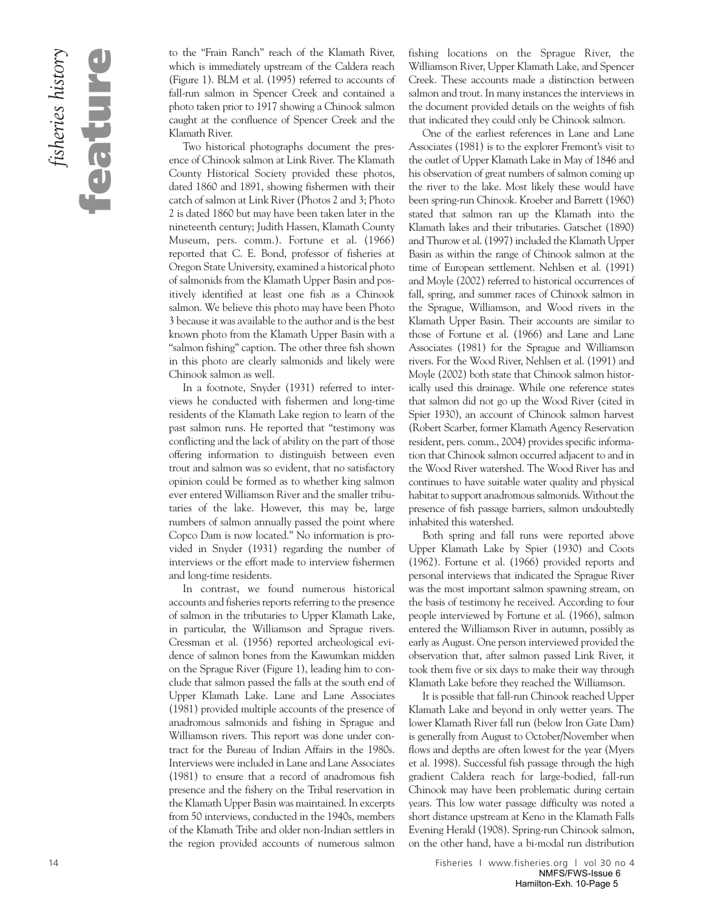# *fisheries history* **feature Feature** fisheries histor

to the "Frain Ranch" reach of the Klamath River, which is immediately upstream of the Caldera reach (Figure 1). BLM et al. (1995) referred to accounts of fall-run salmon in Spencer Creek and contained a photo taken prior to 1917 showing a Chinook salmon caught at the confluence of Spencer Creek and the Klamath River.

Two historical photographs document the presence of Chinook salmon at Link River. The Klamath County Historical Society provided these photos, dated 1860 and 1891, showing fishermen with their catch of salmon at Link River (Photos 2 and 3; Photo 2 is dated 1860 but may have been taken later in the nineteenth century; Judith Hassen, Klamath County Museum, pers. comm.). Fortune et al. (1966) reported that C. E. Bond, professor of fisheries at Oregon State University, examined a historical photo of salmonids from the Klamath Upper Basin and positively identified at least one fish as a Chinook salmon. We believe this photo may have been Photo 3 because it was available to the author and is the best known photo from the Klamath Upper Basin with a "salmon fishing" caption. The other three fish shown in this photo are clearly salmonids and likely were Chinook salmon as well.

In a footnote, Snyder (1931) referred to interviews he conducted with fishermen and long-time residents of the Klamath Lake region to learn of the past salmon runs. He reported that "testimony was conflicting and the lack of ability on the part of those offering information to distinguish between even trout and salmon was so evident, that no satisfactory opinion could be formed as to whether king salmon ever entered Williamson River and the smaller tributaries of the lake. However, this may be, large numbers of salmon annually passed the point where Copco Dam is now located." No information is provided in Snyder (1931) regarding the number of interviews or the effort made to interview fishermen and long-time residents.

In contrast, we found numerous historical accounts and fisheries reports referring to the presence of salmon in the tributaries to Upper Klamath Lake, in particular, the Williamson and Sprague rivers. Cressman et al. (1956) reported archeological evidence of salmon bones from the Kawumkan midden on the Sprague River (Figure 1), leading him to conclude that salmon passed the falls at the south end of Upper Klamath Lake. Lane and Lane Associates (1981) provided multiple accounts of the presence of anadromous salmonids and fishing in Sprague and Williamson rivers. This report was done under contract for the Bureau of Indian Affairs in the 1980s. Interviews were included in Lane and Lane Associates (1981) to ensure that a record of anadromous fish presence and the fishery on the Tribal reservation in the Klamath Upper Basin was maintained. In excerpts from 50 interviews, conducted in the 1940s, members of the Klamath Tribe and older non-Indian settlers in the region provided accounts of numerous salmon

fishing locations on the Sprague River, the Williamson River, Upper Klamath Lake, and Spencer Creek. These accounts made a distinction between salmon and trout. In many instances the interviews in the document provided details on the weights of fish that indicated they could only be Chinook salmon.

One of the earliest references in Lane and Lane Associates (1981) is to the explorer Fremont's visit to the outlet of Upper Klamath Lake in May of 1846 and his observation of great numbers of salmon coming up the river to the lake. Most likely these would have been spring-run Chinook. Kroeber and Barrett (1960) stated that salmon ran up the Klamath into the Klamath lakes and their tributaries. Gatschet (1890) and Thurow et al. (1997) included the Klamath Upper Basin as within the range of Chinook salmon at the time of European settlement. Nehlsen et al. (1991) and Moyle (2002) referred to historical occurrences of fall, spring, and summer races of Chinook salmon in the Sprague, Williamson, and Wood rivers in the Klamath Upper Basin. Their accounts are similar to those of Fortune et al. (1966) and Lane and Lane Associates (1981) for the Sprague and Williamson rivers. For the Wood River, Nehlsen et al. (1991) and Moyle (2002) both state that Chinook salmon historically used this drainage. While one reference states that salmon did not go up the Wood River (cited in Spier 1930), an account of Chinook salmon harvest (Robert Scarber, former Klamath Agency Reservation resident, pers. comm., 2004) provides specific information that Chinook salmon occurred adjacent to and in the Wood River watershed. The Wood River has and continues to have suitable water quality and physical habitat to support anadromous salmonids. Without the presence of fish passage barriers, salmon undoubtedly inhabited this watershed.

Both spring and fall runs were reported above Upper Klamath Lake by Spier (1930) and Coots (1962). Fortune et al. (1966) provided reports and personal interviews that indicated the Sprague River was the most important salmon spawning stream, on the basis of testimony he received. According to four people interviewed by Fortune et al. (1966), salmon entered the Williamson River in autumn, possibly as early as August. One person interviewed provided the observation that, after salmon passed Link River, it took them five or six days to make their way through Klamath Lake before they reached the Williamson.

It is possible that fall-run Chinook reached Upper Klamath Lake and beyond in only wetter years. The lower Klamath River fall run (below Iron Gate Dam) is generally from August to October/November when flows and depths are often lowest for the year (Myers et al. 1998). Successful fish passage through the high gradient Caldera reach for large-bodied, fall-run Chinook may have been problematic during certain years. This low water passage difficulty was noted a short distance upstream at Keno in the Klamath Falls Evening Herald (1908). Spring-run Chinook salmon, on the other hand, have a bi-modal run distribution

14 Fisheries | www.fisheries.org | vol 30 no 4 NMFS/FWS-Issue 6 Hamilton-Exh. 10-Page 5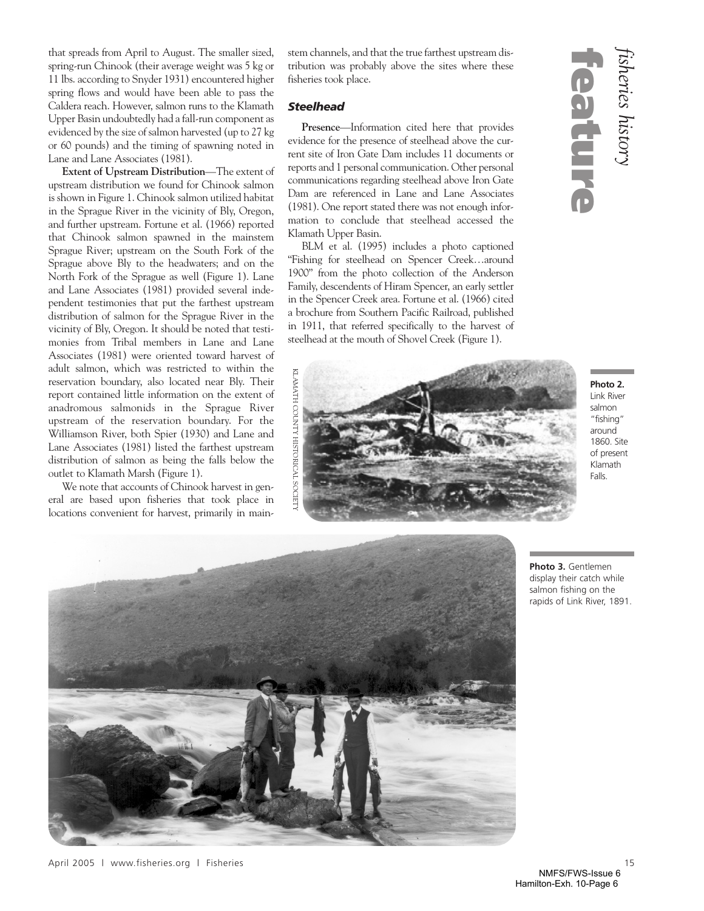that spreads from April to August. The smaller sized, spring-run Chinook (their average weight was 5 kg or 11 lbs. according to Snyder 1931) encountered higher spring flows and would have been able to pass the Caldera reach. However, salmon runs to the Klamath Upper Basin undoubtedly had a fall-run component as evidenced by the size of salmon harvested (up to 27 kg or 60 pounds) and the timing of spawning noted in Lane and Lane Associates (1981).

**Extent of Upstream Distribution**—The extent of upstream distribution we found for Chinook salmon is shown in Figure 1. Chinook salmon utilized habitat in the Sprague River in the vicinity of Bly, Oregon, and further upstream. Fortune et al. (1966) reported that Chinook salmon spawned in the mainstem Sprague River; upstream on the South Fork of the Sprague above Bly to the headwaters; and on the North Fork of the Sprague as well (Figure 1). Lane and Lane Associates (1981) provided several independent testimonies that put the farthest upstream distribution of salmon for the Sprague River in the vicinity of Bly, Oregon. It should be noted that testimonies from Tribal members in Lane and Lane Associates (1981) were oriented toward harvest of adult salmon, which was restricted to within the reservation boundary, also located near Bly. Their report contained little information on the extent of anadromous salmonids in the Sprague River upstream of the reservation boundary. For the Williamson River, both Spier (1930) and Lane and Lane Associates (1981) listed the farthest upstream distribution of salmon as being the falls below the outlet to Klamath Marsh (Figure 1).

We note that accounts of Chinook harvest in general are based upon fisheries that took place in locations convenient for harvest, primarily in mainstem channels, and that the true farthest upstream distribution was probably above the sites where these fisheries took place.

#### *Steelhead*

**Presence**—Information cited here that provides evidence for the presence of steelhead above the current site of Iron Gate Dam includes 11 documents or reports and 1 personal communication. Other personal communications regarding steelhead above Iron Gate Dam are referenced in Lane and Lane Associates (1981). One report stated there was not enough information to conclude that steelhead accessed the Klamath Upper Basin.

BLM et al. (1995) includes a photo captioned "Fishing for steelhead on Spencer Creek…around 1900" from the photo collection of the Anderson Family, descendents of Hiram Spencer, an early settler in the Spencer Creek area. Fortune et al. (1966) cited a brochure from Southern Pacific Railroad, published in 1911, that referred specifically to the harvest of steelhead at the mouth of Shovel Creek (Figure 1).





**Photo 2.** Link River salmon "fishing" around 1860. Site of present Klamath Falls.



April 2005 | www.fisheries.org | Fisheries 15

**Photo 3.** Gentlemen display their catch while salmon fishing on the rapids of Link River, 1891.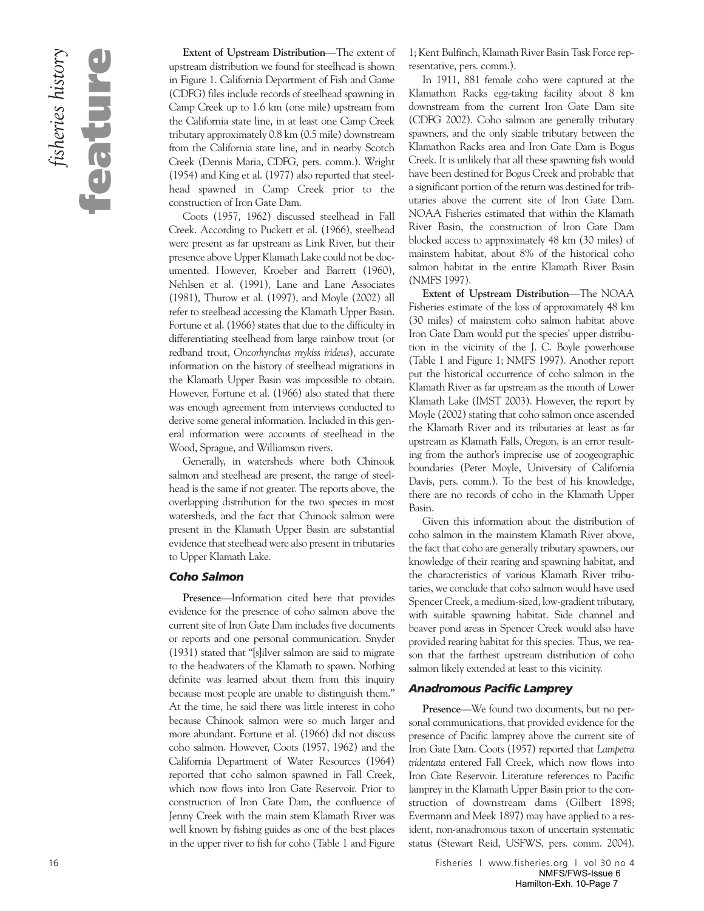# *fisheries history* **feature** fisheries histor **Feature**

**Extent of Upstream Distribution**—The extent of upstream distribution we found for steelhead is shown in Figure 1. California Department of Fish and Game (CDFG) files include records of steelhead spawning in Camp Creek up to 1.6 km (one mile) upstream from the California state line, in at least one Camp Creek tributary approximately 0.8 km (0.5 mile) downstream from the California state line, and in nearby Scotch Creek (Dennis Maria, CDFG, pers. comm.). Wright (1954) and King et al. (1977) also reported that steelhead spawned in Camp Creek prior to the construction of Iron Gate Dam.

Coots (1957, 1962) discussed steelhead in Fall Creek. According to Puckett et al. (1966), steelhead were present as far upstream as Link River, but their presence above Upper Klamath Lake could not be documented. However, Kroeber and Barrett (1960), Nehlsen et al. (1991), Lane and Lane Associates (1981), Thurow et al. (1997), and Moyle (2002) all refer to steelhead accessing the Klamath Upper Basin. Fortune et al. (1966) states that due to the difficulty in differentiating steelhead from large rainbow trout (or redband trout, *Oncorhynchus mykiss irideus*), accurate information on the history of steelhead migrations in the Klamath Upper Basin was impossible to obtain. However, Fortune et al. (1966) also stated that there was enough agreement from interviews conducted to derive some general information. Included in this general information were accounts of steelhead in the Wood, Sprague, and Williamson rivers.

Generally, in watersheds where both Chinook salmon and steelhead are present, the range of steelhead is the same if not greater. The reports above, the overlapping distribution for the two species in most watersheds, and the fact that Chinook salmon were present in the Klamath Upper Basin are substantial evidence that steelhead were also present in tributaries to Upper Klamath Lake.

#### *Coho Salmon*

**Presence**—Information cited here that provides evidence for the presence of coho salmon above the current site of Iron Gate Dam includes five documents or reports and one personal communication. Snyder (1931) stated that "[s]ilver salmon are said to migrate to the headwaters of the Klamath to spawn. Nothing definite was learned about them from this inquiry because most people are unable to distinguish them." At the time, he said there was little interest in coho because Chinook salmon were so much larger and more abundant. Fortune et al. (1966) did not discuss coho salmon. However, Coots (1957, 1962) and the California Department of Water Resources (1964) reported that coho salmon spawned in Fall Creek, which now flows into Iron Gate Reservoir. Prior to construction of Iron Gate Dam, the confluence of Jenny Creek with the main stem Klamath River was well known by fishing guides as one of the best places in the upper river to fish for coho (Table 1 and Figure 1; Kent Bulfinch, Klamath River Basin Task Force representative, pers. comm.).

In 1911, 881 female coho were captured at the Klamathon Racks egg-taking facility about 8 km downstream from the current Iron Gate Dam site (CDFG 2002). Coho salmon are generally tributary spawners, and the only sizable tributary between the Klamathon Racks area and Iron Gate Dam is Bogus Creek. It is unlikely that all these spawning fish would have been destined for Bogus Creek and probable that a significant portion of the return was destined for tributaries above the current site of Iron Gate Dam. NOAA Fisheries estimated that within the Klamath River Basin, the construction of Iron Gate Dam blocked access to approximately 48 km (30 miles) of mainstem habitat, about 8% of the historical coho salmon habitat in the entire Klamath River Basin (NMFS 1997).

**Extent of Upstream Distribution**—The NOAA Fisheries estimate of the loss of approximately 48 km (30 miles) of mainstem coho salmon habitat above Iron Gate Dam would put the species' upper distribution in the vicinity of the J. C. Boyle powerhouse (Table 1 and Figure 1; NMFS 1997). Another report put the historical occurrence of coho salmon in the Klamath River as far upstream as the mouth of Lower Klamath Lake (IMST 2003). However, the report by Moyle (2002) stating that coho salmon once ascended the Klamath River and its tributaries at least as far upstream as Klamath Falls, Oregon, is an error resulting from the author's imprecise use of zoogeographic boundaries (Peter Moyle, University of California Davis, pers. comm.). To the best of his knowledge, there are no records of coho in the Klamath Upper Basin.

Given this information about the distribution of coho salmon in the mainstem Klamath River above, the fact that coho are generally tributary spawners, our knowledge of their rearing and spawning habitat, and the characteristics of various Klamath River tributaries, we conclude that coho salmon would have used Spencer Creek, a medium-sized, low-gradient tributary, with suitable spawning habitat. Side channel and beaver pond areas in Spencer Creek would also have provided rearing habitat for this species. Thus, we reason that the farthest upstream distribution of coho salmon likely extended at least to this vicinity.

#### *Anadromous Pacific Lamprey*

**Presence**—We found two documents, but no personal communications, that provided evidence for the presence of Pacific lamprey above the current site of Iron Gate Dam. Coots (1957) reported that *Lampetra tridentata* entered Fall Creek, which now flows into Iron Gate Reservoir. Literature references to Pacific lamprey in the Klamath Upper Basin prior to the construction of downstream dams (Gilbert 1898; Evermann and Meek 1897) may have applied to a resident, non-anadromous taxon of uncertain systematic status (Stewart Reid, USFWS, pers. comm. 2004).

16 Fisheries | www.fisheries.org | vol 30 no 4 NMFS/FWS-Issue 6 Hamilton-Exh. 10-Page 7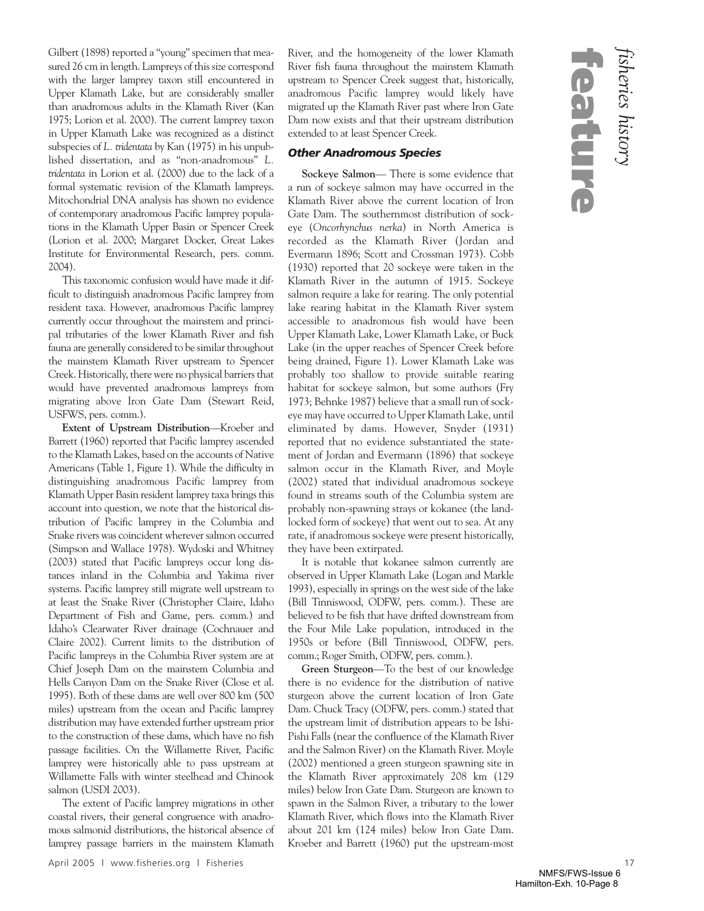Gilbert (1898) reported a "young" specimen that measured 26 cm in length. Lampreys of this size correspond with the larger lamprey taxon still encountered in Upper Klamath Lake, but are considerably smaller than anadromous adults in the Klamath River (Kan 1975; Lorion et al. 2000). The current lamprey taxon in Upper Klamath Lake was recognized as a distinct subspecies of *L. tridentata* by Kan (1975) in his unpublished dissertation, and as "non-anadromous" *L. tridentata* in Lorion et al. (2000) due to the lack of a formal systematic revision of the Klamath lampreys. Mitochondrial DNA analysis has shown no evidence of contemporary anadromous Pacific lamprey populations in the Klamath Upper Basin or Spencer Creek (Lorion et al. 2000; Margaret Docker, Great Lakes Institute for Environmental Research, pers. comm. 2004).

This taxonomic confusion would have made it difficult to distinguish anadromous Pacific lamprey from resident taxa. However, anadromous Pacific lamprey currently occur throughout the mainstem and principal tributaries of the lower Klamath River and fish fauna are generally considered to be similar throughout the mainstem Klamath River upstream to Spencer Creek. Historically, there were no physical barriers that would have prevented anadromous lampreys from migrating above Iron Gate Dam (Stewart Reid, USFWS, pers. comm.).

**Extent of Upstream Distribution**—Kroeber and Barrett (1960) reported that Pacific lamprey ascended to the Klamath Lakes, based on the accounts of Native Americans (Table 1, Figure 1). While the difficulty in distinguishing anadromous Pacific lamprey from Klamath Upper Basin resident lamprey taxa brings this account into question, we note that the historical distribution of Pacific lamprey in the Columbia and Snake rivers was coincident wherever salmon occurred (Simpson and Wallace 1978). Wydoski and Whitney (2003) stated that Pacific lampreys occur long distances inland in the Columbia and Yakima river systems. Pacific lamprey still migrate well upstream to at least the Snake River (Christopher Claire, Idaho Department of Fish and Game, pers. comm.) and Idaho's Clearwater River drainage (Cochnauer and Claire 2002). Current limits to the distribution of Pacific lampreys in the Columbia River system are at Chief Joseph Dam on the mainstem Columbia and Hells Canyon Dam on the Snake River (Close et al. 1995). Both of these dams are well over 800 km (500 miles) upstream from the ocean and Pacific lamprey distribution may have extended further upstream prior to the construction of these dams, which have no fish passage facilities. On the Willamette River, Pacific lamprey were historically able to pass upstream at Willamette Falls with winter steelhead and Chinook salmon (USDI 2003).

The extent of Pacific lamprey migrations in other coastal rivers, their general congruence with anadromous salmonid distributions, the historical absence of lamprey passage barriers in the mainstem Klamath River, and the homogeneity of the lower Klamath River fish fauna throughout the mainstem Klamath upstream to Spencer Creek suggest that, historically, anadromous Pacific lamprey would likely have migrated up the Klamath River past where Iron Gate Dam now exists and that their upstream distribution extended to at least Spencer Creek.

#### *Other Anadromous Species*

**Sockeye Salmon**— There is some evidence that a run of sockeye salmon may have occurred in the Klamath River above the current location of Iron Gate Dam. The southernmost distribution of sockeye (*Oncorhynchus nerka*) in North America is recorded as the Klamath River (Jordan and Evermann 1896; Scott and Crossman 1973). Cobb (1930) reported that 20 sockeye were taken in the Klamath River in the autumn of 1915. Sockeye salmon require a lake for rearing. The only potential lake rearing habitat in the Klamath River system accessible to anadromous fish would have been Upper Klamath Lake, Lower Klamath Lake, or Buck Lake (in the upper reaches of Spencer Creek before being drained, Figure 1). Lower Klamath Lake was probably too shallow to provide suitable rearing habitat for sockeye salmon, but some authors (Fry 1973; Behnke 1987) believe that a small run of sockeye may have occurred to Upper Klamath Lake, until eliminated by dams. However, Snyder (1931) reported that no evidence substantiated the statement of Jordan and Evermann (1896) that sockeye salmon occur in the Klamath River, and Moyle (2002) stated that individual anadromous sockeye found in streams south of the Columbia system are probably non-spawning strays or kokanee (the landlocked form of sockeye) that went out to sea. At any rate, if anadromous sockeye were present historically, they have been extirpated.

It is notable that kokanee salmon currently are observed in Upper Klamath Lake (Logan and Markle 1993), especially in springs on the west side of the lake (Bill Tinniswood, ODFW, pers. comm.). These are believed to be fish that have drifted downstream from the Four Mile Lake population, introduced in the 1950s or before (Bill Tinniswood, ODFW, pers. comm.; Roger Smith, ODFW, pers. comm.).

**Green Sturgeon**—To the best of our knowledge there is no evidence for the distribution of native sturgeon above the current location of Iron Gate Dam. Chuck Tracy (ODFW, pers. comm.) stated that the upstream limit of distribution appears to be Ishi-Pishi Falls (near the confluence of the Klamath River and the Salmon River) on the Klamath River. Moyle (2002) mentioned a green sturgeon spawning site in the Klamath River approximately 208 km (129 miles) below Iron Gate Dam. Sturgeon are known to spawn in the Salmon River, a tributary to the lower Klamath River, which flows into the Klamath River about 201 km (124 miles) below Iron Gate Dam. Kroeber and Barrett (1960) put the upstream-most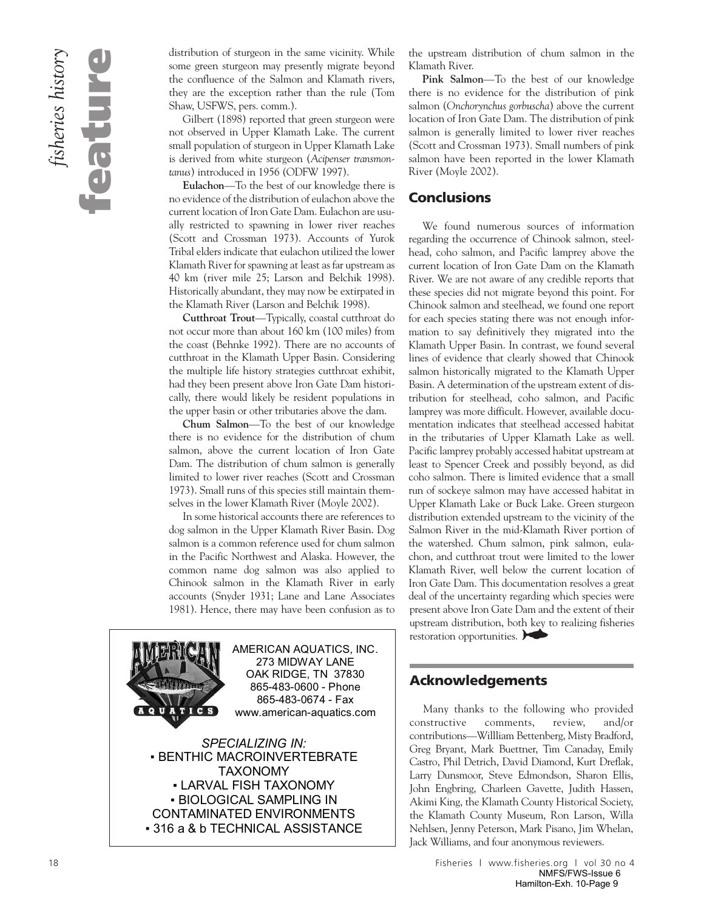# *fisheries history*  **feature** fisheries histor **Minples**

distribution of sturgeon in the same vicinity. While some green sturgeon may presently migrate beyond the confluence of the Salmon and Klamath rivers, they are the exception rather than the rule (Tom Shaw, USFWS, pers. comm.).

Gilbert (1898) reported that green sturgeon were not observed in Upper Klamath Lake. The current small population of sturgeon in Upper Klamath Lake is derived from white sturgeon (*Acipenser transmontanus*) introduced in 1956 (ODFW 1997).

**Eulachon**—To the best of our knowledge there is no evidence of the distribution of eulachon above the current location of Iron Gate Dam. Eulachon are usually restricted to spawning in lower river reaches (Scott and Crossman 1973). Accounts of Yurok Tribal elders indicate that eulachon utilized the lower Klamath River for spawning at least as far upstream as 40 km (river mile 25; Larson and Belchik 1998). Historically abundant, they may now be extirpated in the Klamath River (Larson and Belchik 1998).

**Cutthroat Trout**—Typically, coastal cutthroat do not occur more than about 160 km (100 miles) from the coast (Behnke 1992). There are no accounts of cutthroat in the Klamath Upper Basin. Considering the multiple life history strategies cutthroat exhibit, had they been present above Iron Gate Dam historically, there would likely be resident populations in the upper basin or other tributaries above the dam.

**Chum Salmon**—To the best of our knowledge there is no evidence for the distribution of chum salmon, above the current location of Iron Gate Dam. The distribution of chum salmon is generally limited to lower river reaches (Scott and Crossman 1973). Small runs of this species still maintain themselves in the lower Klamath River (Moyle 2002).

In some historical accounts there are references to dog salmon in the Upper Klamath River Basin. Dog salmon is a common reference used for chum salmon in the Pacific Northwest and Alaska. However, the common name dog salmon was also applied to Chinook salmon in the Klamath River in early accounts (Snyder 1931; Lane and Lane Associates 1981). Hence, there may have been confusion as to



the upstream distribution of chum salmon in the Klamath River.

**Pink Salmon**—To the best of our knowledge there is no evidence for the distribution of pink salmon (*Onchorynchus gorbuscha*) above the current location of Iron Gate Dam. The distribution of pink salmon is generally limited to lower river reaches (Scott and Crossman 1973). Small numbers of pink salmon have been reported in the lower Klamath River (Moyle 2002).

#### **Conclusions**

We found numerous sources of information regarding the occurrence of Chinook salmon, steelhead, coho salmon, and Pacific lamprey above the current location of Iron Gate Dam on the Klamath River. We are not aware of any credible reports that these species did not migrate beyond this point. For Chinook salmon and steelhead, we found one report for each species stating there was not enough information to say definitively they migrated into the Klamath Upper Basin. In contrast, we found several lines of evidence that clearly showed that Chinook salmon historically migrated to the Klamath Upper Basin. A determination of the upstream extent of distribution for steelhead, coho salmon, and Pacific lamprey was more difficult. However, available documentation indicates that steelhead accessed habitat in the tributaries of Upper Klamath Lake as well. Pacific lamprey probably accessed habitat upstream at least to Spencer Creek and possibly beyond, as did coho salmon. There is limited evidence that a small run of sockeye salmon may have accessed habitat in Upper Klamath Lake or Buck Lake. Green sturgeon distribution extended upstream to the vicinity of the Salmon River in the mid-Klamath River portion of the watershed. Chum salmon, pink salmon, eulachon, and cutthroat trout were limited to the lower Klamath River, well below the current location of Iron Gate Dam. This documentation resolves a great deal of the uncertainty regarding which species were present above Iron Gate Dam and the extent of their upstream distribution, both key to realizing fisheries restoration opportunities.

#### **Acknowledgements**

Many thanks to the following who provided constructive comments, review, and/or contributions—Willliam Bettenberg, Misty Bradford, Greg Bryant, Mark Buettner, Tim Canaday, Emily Castro, Phil Detrich, David Diamond, Kurt Dreflak, Larry Dunsmoor, Steve Edmondson, Sharon Ellis, John Engbring, Charleen Gavette, Judith Hassen, Akimi King, the Klamath County Historical Society, the Klamath County Museum, Ron Larson, Willa Nehlsen, Jenny Peterson, Mark Pisano, Jim Whelan, Jack Williams, and four anonymous reviewers.

18 Fisheries | www.fisheries.org | vol 30 no 4 NMFS/FWS-Issue 6 Hamilton-Exh. 10-Page 9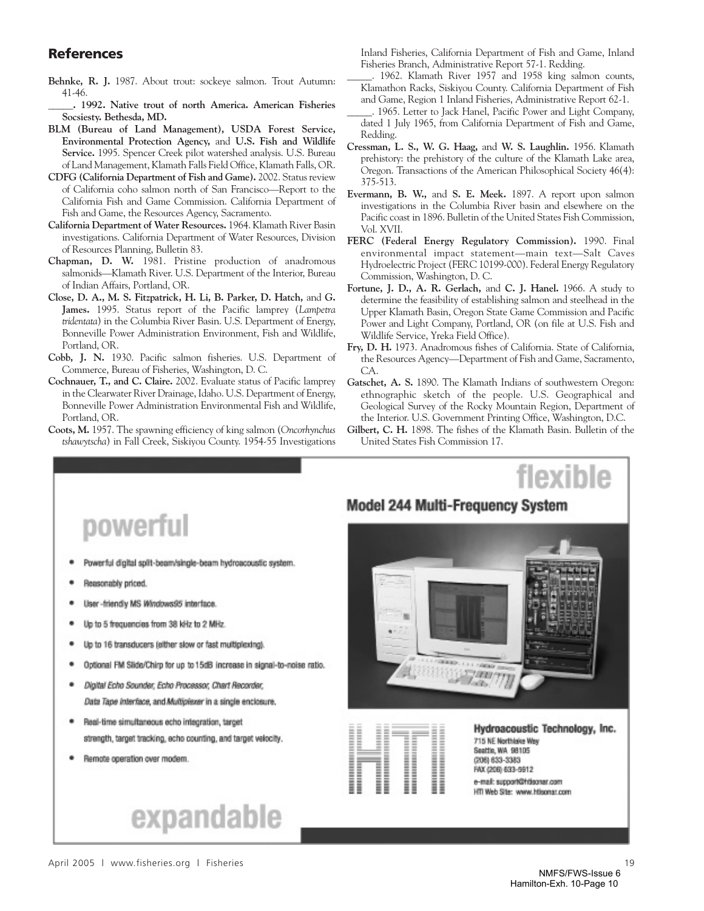#### **References**

- **Behnke, R. J.** 1987. About trout: sockeye salmon. Trout Autumn: 41-46.
- **\_\_\_\_\_. 1992. Native trout of north America. American Fisheries Socsiesty. Bethesda, MD.**
- **BLM (Bureau of Land Management), USDA Forest Service, Environmental Protection Agency,** and **U.S. Fish and Wildlife Service.** 1995. Spencer Creek pilot watershed analysis. U.S. Bureau of Land Management, Klamath Falls Field Office, Klamath Falls, OR.
- **CDFG (California Department of Fish and Game).** 2002. Status review of California coho salmon north of San Francisco—Report to the California Fish and Game Commission. California Department of Fish and Game, the Resources Agency, Sacramento.
- **California Department of Water Resources.** 1964. Klamath River Basin investigations. California Department of Water Resources, Division of Resources Planning, Bulletin 83.
- **Chapman, D. W.** 1981. Pristine production of anadromous salmonids—Klamath River. U.S. Department of the Interior, Bureau of Indian Affairs, Portland, OR.
- **Close, D. A., M. S. Fitzpatrick, H. Li, B. Parker, D. Hatch,** and **G. James.** 1995. Status report of the Pacific lamprey (*Lampetra tridentata*) in the Columbia River Basin. U.S. Department of Energy, Bonneville Power Administration Environment, Fish and Wildlife, Portland, OR.
- **Cobb, J. N.** 1930. Pacific salmon fisheries. U.S. Department of Commerce, Bureau of Fisheries, Washington, D. C.
- **Cochnauer, T., and C. Claire.** 2002. Evaluate status of Pacific lamprey in the Clearwater River Drainage, Idaho. U.S. Department of Energy, Bonneville Power Administration Environmental Fish and Wildlife, Portland, OR.
- **Coots, M.** 1957. The spawning efficiency of king salmon (*Oncorhynchus tshawytscha*) in Fall Creek, Siskiyou County. 1954-55 Investigations

Inland Fisheries, California Department of Fish and Game, Inland Fisheries Branch, Administrative Report 57-1. Redding.

- \_\_\_\_\_. 1962. Klamath River 1957 and 1958 king salmon counts, Klamathon Racks, Siskiyou County. California Department of Fish and Game, Region 1 Inland Fisheries, Administrative Report 62-1.
- \_\_\_\_\_. 1965. Letter to Jack Hanel, Pacific Power and Light Company, dated 1 July 1965, from California Department of Fish and Game, Redding.
- **Cressman, L. S., W. G. Haag,** and **W. S. Laughlin.** 1956. Klamath prehistory: the prehistory of the culture of the Klamath Lake area, Oregon. Transactions of the American Philosophical Society 46(4): 375-513.
- **Evermann, B. W.,** and **S. E. Meek.** 1897. A report upon salmon investigations in the Columbia River basin and elsewhere on the Pacific coast in 1896. Bulletin of the United States Fish Commission, Vol. XVII.
- **FERC (Federal Energy Regulatory Commission).** 1990. Final environmental impact statement—main text—Salt Caves Hydroelectric Project (FERC 10199-000). Federal Energy Regulatory Commission, Washington, D. C.
- **Fortune, J. D., A. R. Gerlach,** and **C. J. Hanel.** 1966. A study to determine the feasibility of establishing salmon and steelhead in the Upper Klamath Basin, Oregon State Game Commission and Pacific Power and Light Company, Portland, OR (on file at U.S. Fish and Wildlife Service, Yreka Field Office).
- **Fry, D. H.** 1973. Anadromous fishes of California. State of California, the Resources Agency—Department of Fish and Game, Sacramento, CA.
- **Gatschet, A. S.** 1890. The Klamath Indians of southwestern Oregon: ethnographic sketch of the people. U.S. Geographical and Geological Survey of the Rocky Mountain Region, Department of the Interior. U.S. Government Printing Office, Washington, D.C.
- **Gilbert, C. H.** 1898. The fishes of the Klamath Basin. Bulletin of the United States Fish Commission 17.

## flexible

### powerful

- Powerful digital split-beam/single-beam hydroacoustic system.
- Reasonably priced.
- User-friendly MS Windows95 interface
- Up to 5 frequencies from 38 kHz to 2 MHz.
- Up to 16 transducers (either slow or fast multiplexing).
- Optional FM Slide/Chirp for up to 15dB increase in signal-to-noise ratio. ٠
- Digital Echo Sounder, Echo Processor, Chart Recorder, Data Tape Interface, and Multiplexer in a single enclosure.
- ٠ Real-time simultaneous echo integration, target strength, target tracking, echo counting, and target velocity.
- Remote operation over modem.

### expandable



İ

--------

**THE REAL PROPERTY AND REAL PROPERTY**  Hydroacoustic Technology, Inc. 715 NE Northlake Way Seattle, WA 98105 (206) 633-3383 FAX (206) 633-5912 e-mail: support@htlsonar.com HTI Web Site: www.htisonar.com

NMFS/FWS-Issue 6 Hamilton-Exh. 10-Page 10